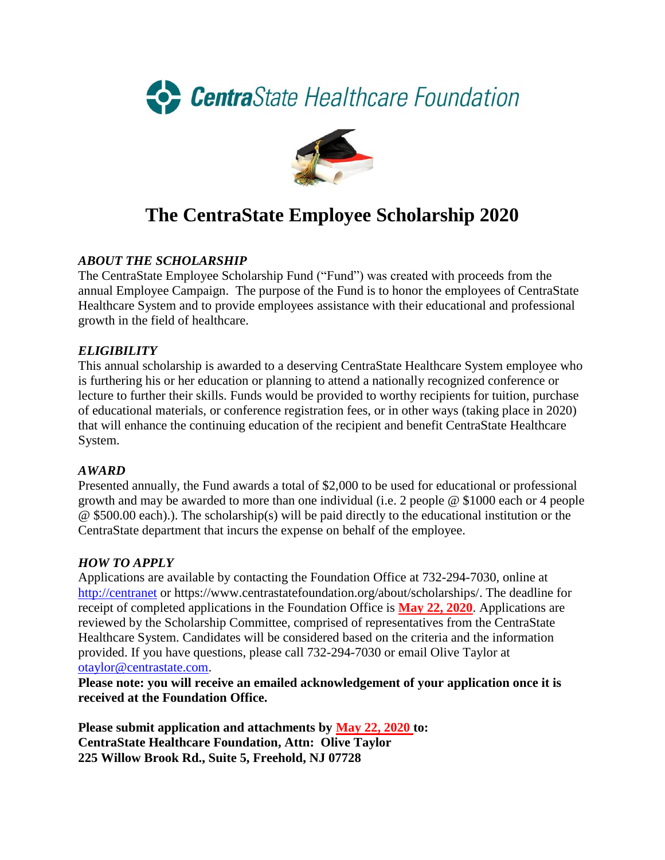



# **The CentraState Employee Scholarship 2020**

#### *ABOUT THE SCHOLARSHIP*

The CentraState Employee Scholarship Fund ("Fund") was created with proceeds from the annual Employee Campaign. The purpose of the Fund is to honor the employees of CentraState Healthcare System and to provide employees assistance with their educational and professional growth in the field of healthcare.

#### *ELIGIBILITY*

This annual scholarship is awarded to a deserving CentraState Healthcare System employee who is furthering his or her education or planning to attend a nationally recognized conference or lecture to further their skills. Funds would be provided to worthy recipients for tuition, purchase of educational materials, or conference registration fees, or in other ways (taking place in 2020) that will enhance the continuing education of the recipient and benefit CentraState Healthcare System.

#### *AWARD*

Presented annually, the Fund awards a total of \$2,000 to be used for educational or professional growth and may be awarded to more than one individual (i.e. 2 people @ \$1000 each or 4 people @ \$500.00 each).). The scholarship(s) will be paid directly to the educational institution or the CentraState department that incurs the expense on behalf of the employee.

#### *HOW TO APPLY*

Applications are available by contacting the Foundation Office at 732-294-7030, online at [http://centranet](http://centranet/) or https://www.centrastatefoundation.org/about/scholarships/. The deadline for receipt of completed applications in the Foundation Office is **May 22, 2020**. Applications are reviewed by the Scholarship Committee, comprised of representatives from the CentraState Healthcare System. Candidates will be considered based on the criteria and the information provided. If you have questions, please call 732-294-7030 or email Olive Taylor at [otaylor@centrastate.com.](mailto:otaylor@centrastate.com)

**Please note: you will receive an emailed acknowledgement of your application once it is received at the Foundation Office.**

**Please submit application and attachments by May 22, 2020 to: CentraState Healthcare Foundation, Attn: Olive Taylor 225 Willow Brook Rd., Suite 5, Freehold, NJ 07728**